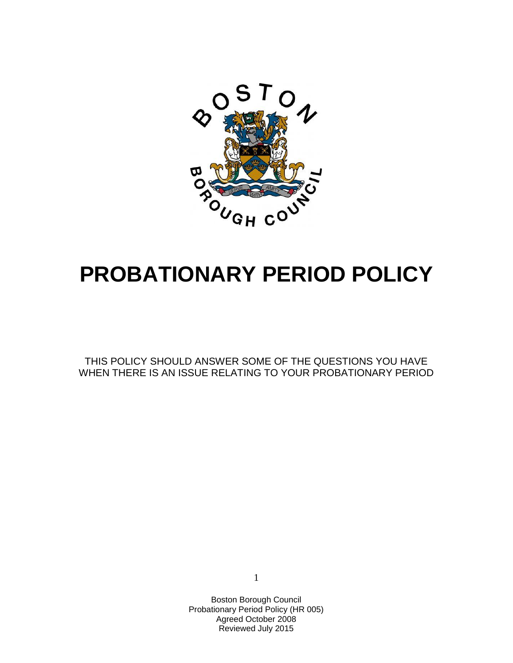

# **PROBATIONARY PERIOD POLICY**

THIS POLICY SHOULD ANSWER SOME OF THE QUESTIONS YOU HAVE WHEN THERE IS AN ISSUE RELATING TO YOUR PROBATIONARY PERIOD

1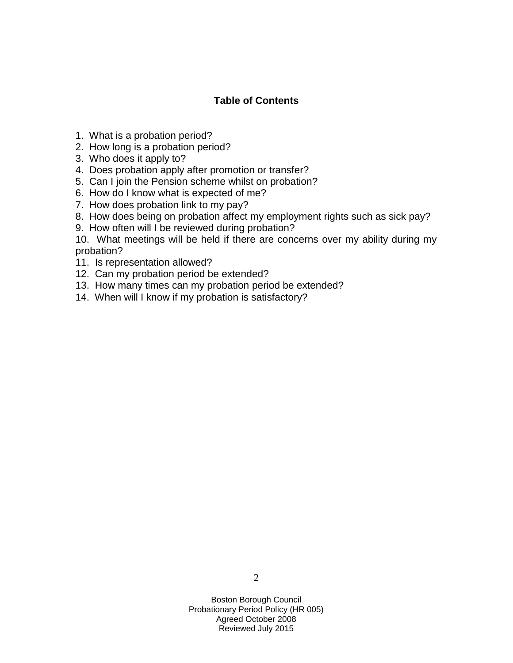## **Table of Contents**

- 1. What is a probation period?
- 2. How long is a probation period?
- 3. Who does it apply to?
- 4. Does probation apply after promotion or transfer?
- 5. Can I join the Pension scheme whilst on probation?
- 6. How do I know what is expected of me?
- 7. How does probation link to my pay?
- 8. How does being on probation affect my employment rights such as sick pay?
- 9. How often will I be reviewed during probation?

10. What meetings will be held if there are concerns over my ability during my probation?

- 11. Is representation allowed?
- 12. Can my probation period be extended?
- 13. How many times can my probation period be extended?
- 14. When will I know if my probation is satisfactory?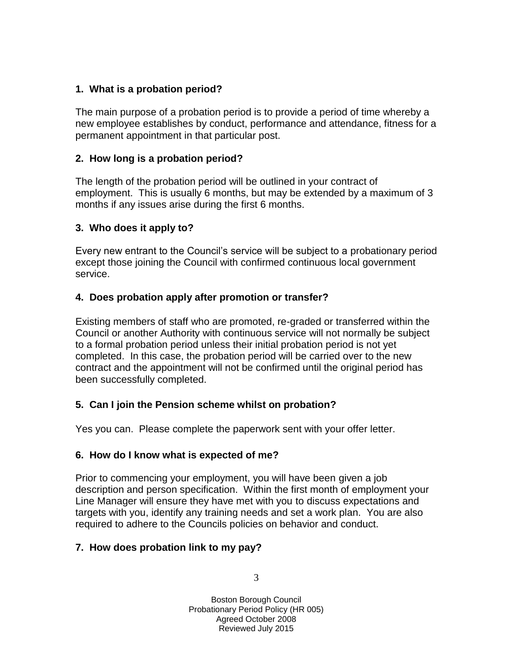# **1. What is a probation period?**

The main purpose of a probation period is to provide a period of time whereby a new employee establishes by conduct, performance and attendance, fitness for a permanent appointment in that particular post.

## **2. How long is a probation period?**

The length of the probation period will be outlined in your contract of employment. This is usually 6 months, but may be extended by a maximum of 3 months if any issues arise during the first 6 months.

## **3. Who does it apply to?**

Every new entrant to the Council's service will be subject to a probationary period except those joining the Council with confirmed continuous local government service.

## **4. Does probation apply after promotion or transfer?**

Existing members of staff who are promoted, re-graded or transferred within the Council or another Authority with continuous service will not normally be subject to a formal probation period unless their initial probation period is not yet completed. In this case, the probation period will be carried over to the new contract and the appointment will not be confirmed until the original period has been successfully completed.

#### **5. Can I join the Pension scheme whilst on probation?**

Yes you can. Please complete the paperwork sent with your offer letter.

#### **6. How do I know what is expected of me?**

Prior to commencing your employment, you will have been given a job description and person specification. Within the first month of employment your Line Manager will ensure they have met with you to discuss expectations and targets with you, identify any training needs and set a work plan. You are also required to adhere to the Councils policies on behavior and conduct.

# **7. How does probation link to my pay?**

3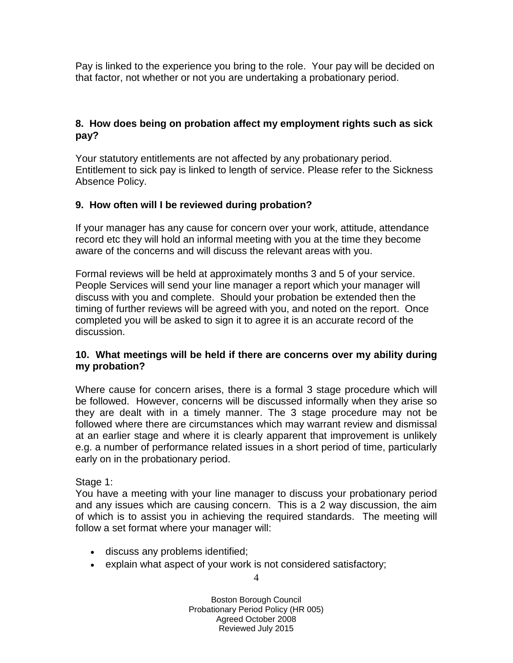Pay is linked to the experience you bring to the role. Your pay will be decided on that factor, not whether or not you are undertaking a probationary period.

## **8. How does being on probation affect my employment rights such as sick pay?**

Your statutory entitlements are not affected by any probationary period. Entitlement to sick pay is linked to length of service. Please refer to the Sickness Absence Policy.

# **9. How often will I be reviewed during probation?**

If your manager has any cause for concern over your work, attitude, attendance record etc they will hold an informal meeting with you at the time they become aware of the concerns and will discuss the relevant areas with you.

Formal reviews will be held at approximately months 3 and 5 of your service. People Services will send your line manager a report which your manager will discuss with you and complete. Should your probation be extended then the timing of further reviews will be agreed with you, and noted on the report. Once completed you will be asked to sign it to agree it is an accurate record of the discussion.

#### **10. What meetings will be held if there are concerns over my ability during my probation?**

Where cause for concern arises, there is a formal 3 stage procedure which will be followed. However, concerns will be discussed informally when they arise so they are dealt with in a timely manner. The 3 stage procedure may not be followed where there are circumstances which may warrant review and dismissal at an earlier stage and where it is clearly apparent that improvement is unlikely e.g. a number of performance related issues in a short period of time, particularly early on in the probationary period.

#### Stage 1:

You have a meeting with your line manager to discuss your probationary period and any issues which are causing concern. This is a 2 way discussion, the aim of which is to assist you in achieving the required standards. The meeting will follow a set format where your manager will:

- discuss any problems identified;
- explain what aspect of your work is not considered satisfactory;

4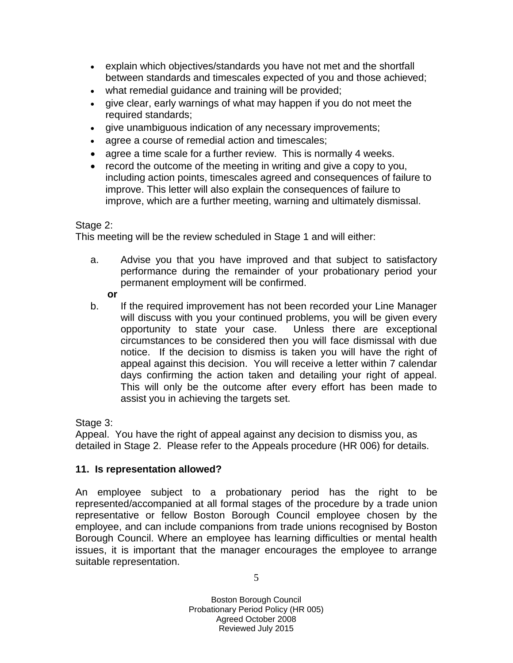- explain which objectives/standards you have not met and the shortfall between standards and timescales expected of you and those achieved;
- what remedial guidance and training will be provided;
- give clear, early warnings of what may happen if you do not meet the required standards;
- give unambiguous indication of any necessary improvements;
- agree a course of remedial action and timescales;
- agree a time scale for a further review. This is normally 4 weeks.
- record the outcome of the meeting in writing and give a copy to you, including action points, timescales agreed and consequences of failure to improve. This letter will also explain the consequences of failure to improve, which are a further meeting, warning and ultimately dismissal.

## Stage 2:

This meeting will be the review scheduled in Stage 1 and will either:

a. Advise you that you have improved and that subject to satisfactory performance during the remainder of your probationary period your permanent employment will be confirmed.

#### **or**

b. If the required improvement has not been recorded your Line Manager will discuss with you your continued problems, you will be given every opportunity to state your case. Unless there are exceptional circumstances to be considered then you will face dismissal with due notice. If the decision to dismiss is taken you will have the right of appeal against this decision. You will receive a letter within 7 calendar days confirming the action taken and detailing your right of appeal. This will only be the outcome after every effort has been made to assist you in achieving the targets set.

Stage 3:

Appeal. You have the right of appeal against any decision to dismiss you, as detailed in Stage 2. Please refer to the Appeals procedure (HR 006) for details.

# **11. Is representation allowed?**

An employee subject to a probationary period has the right to be represented/accompanied at all formal stages of the procedure by a trade union representative or fellow Boston Borough Council employee chosen by the employee, and can include companions from trade unions recognised by Boston Borough Council. Where an employee has learning difficulties or mental health issues, it is important that the manager encourages the employee to arrange suitable representation.

5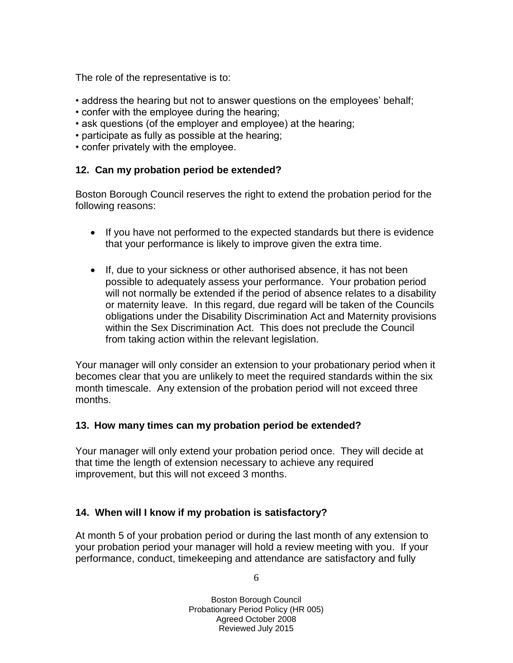The role of the representative is to:

- address the hearing but not to answer questions on the employees' behalf;
- confer with the employee during the hearing;
- ask questions (of the employer and employee) at the hearing;
- participate as fully as possible at the hearing;
- confer privately with the employee.

## **12. Can my probation period be extended?**

Boston Borough Council reserves the right to extend the probation period for the following reasons:

- If you have not performed to the expected standards but there is evidence that your performance is likely to improve given the extra time.
- If, due to your sickness or other authorised absence, it has not been possible to adequately assess your performance. Your probation period will not normally be extended if the period of absence relates to a disability or maternity leave. In this regard, due regard will be taken of the Councils obligations under the Disability Discrimination Act and Maternity provisions within the Sex Discrimination Act. This does not preclude the Council from taking action within the relevant legislation.

Your manager will only consider an extension to your probationary period when it becomes clear that you are unlikely to meet the required standards within the six month timescale. Any extension of the probation period will not exceed three months.

#### **13. How many times can my probation period be extended?**

Your manager will only extend your probation period once. They will decide at that time the length of extension necessary to achieve any required improvement, but this will not exceed 3 months.

# **14. When will I know if my probation is satisfactory?**

At month 5 of your probation period or during the last month of any extension to your probation period your manager will hold a review meeting with you. If your performance, conduct, timekeeping and attendance are satisfactory and fully

6